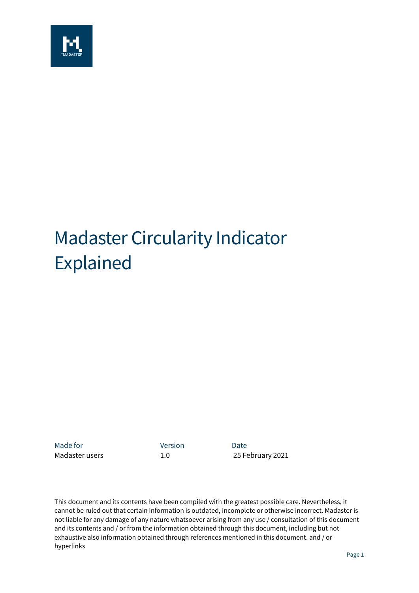

# Madaster Circularity Indicator Explained

Made for **Version Date** 

Madaster users 1.0 25 February 2021

This document and its contents have been compiled with the greatest possible care. Nevertheless, it cannot be ruled out that certain information is outdated, incomplete or otherwise incorrect. Madaster is not liable for any damage of any nature whatsoever arising from any use / consultation of this document and its contents and / or from the information obtained through this document, including but not exhaustive also information obtained through references mentioned in this document. and / or hyperlinks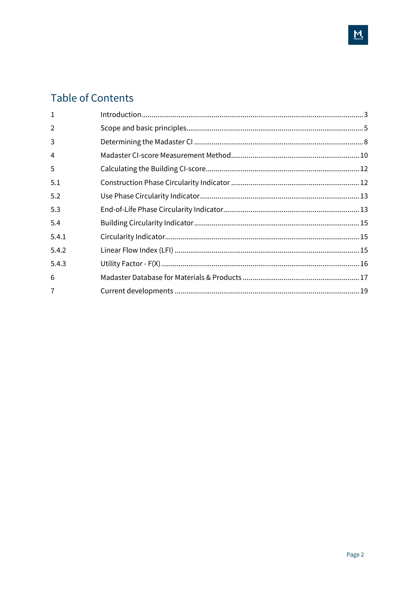## **Table of Contents**

| 1     |  |
|-------|--|
| 2     |  |
| 3     |  |
| 4     |  |
| 5     |  |
| 5.1   |  |
| 5.2   |  |
| 5.3   |  |
| 5.4   |  |
| 5.4.1 |  |
| 5.4.2 |  |
| 5.4.3 |  |
| 6     |  |
| 7     |  |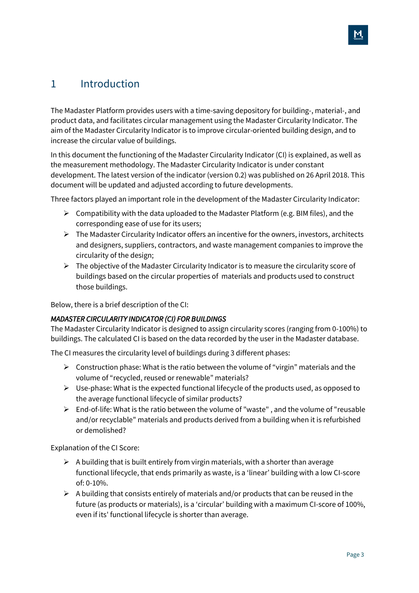## <span id="page-2-0"></span>1 Introduction

The Madaster Platform provides users with a time-saving depository for building-, material-, and product data, and facilitates circular management using the Madaster Circularity Indicator. The aim of the Madaster Circularity Indicator is to improve circular-oriented building design, and to increase the circular value of buildings.

In this document the functioning of the Madaster Circularity Indicator (CI) is explained, as well as the measurement methodology. The Madaster Circularity Indicator is under constant development. The latest version of the indicator (version 0.2) was published on 26 April 2018. This document will be updated and adjusted according to future developments.

Three factors played an important role in the development of the Madaster Circularity Indicator:

- $\triangleright$  Compatibility with the data uploaded to the Madaster Platform (e.g. BIM files), and the corresponding ease of use for its users;
- $\triangleright$  The Madaster Circularity Indicator offers an incentive for the owners, investors, architects and designers, suppliers, contractors, and waste management companies to improve the circularity of the design;
- $\triangleright$  The objective of the Madaster Circularity Indicator is to measure the circularity score of buildings based on the circular properties of materials and products used to construct those buildings.

Below, there is a brief description of the CI:

#### *MADASTER CIRCULARITY INDICATOR (CI) FOR BUILDINGS*

The Madaster Circularity Indicator is designed to assign circularity scores (ranging from 0-100%) to buildings. The calculated CI is based on the data recorded by the user in the Madaster database.

The CI measures the circularity level of buildings during 3 different phases:

- $\triangleright$  Construction phase: What is the ratio between the volume of "virgin" materials and the volume of "recycled, reused or renewable" materials?
- $\triangleright$  Use-phase: What is the expected functional lifecycle of the products used, as opposed to the average functional lifecycle of similar products?
- $\triangleright$  End-of-life: What is the ratio between the volume of "waste", and the volume of "reusable and/or recyclable" materials and products derived from a building when it is refurbished or demolished?

Explanation of the CI Score:

- $\triangleright$  A building that is built entirely from virgin materials, with a shorter than average functional lifecycle, that ends primarily as waste, is a 'linear' building with a low CI-score of: 0-10%.
- $\triangleright$  A building that consists entirely of materials and/or products that can be reused in the future (as products or materials), is a 'circular' building with a maximum CI-score of 100%, even if its' functional lifecycle is shorter than average.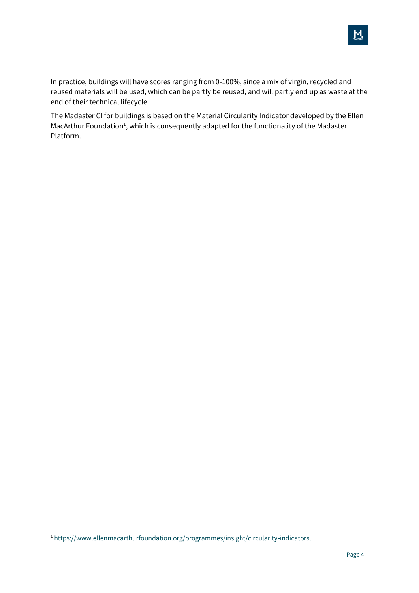M

In practice, buildings will have scores ranging from 0-100%, since a mix of virgin, recycled and reused materials will be used, which can be partly be reused, and will partly end up as waste at the end of their technical lifecycle.

The Madaster CI for buildings is based on the Material Circularity Indicator developed by the Ellen MacArthur Foundation<sup>1</sup>, which is consequently adapted for the functionality of the Madaster Platform.

<sup>1</sup> [https://www.ellenmacarthurfoundation.org/programmes/insight/circularity-indicators.](https://www.ellenmacarthurfoundation.org/programmes/insight/circularity-indicators)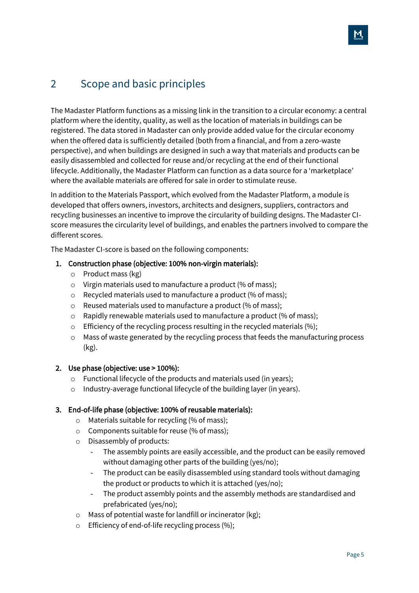## <span id="page-4-0"></span>2 Scope and basic principles

The Madaster Platform functions as a missing link in the transition to a circular economy: a central platform where the identity, quality, as well as the location of materials in buildings can be registered. The data stored in Madaster can only provide added value for the circular economy when the offered data is sufficiently detailed (both from a financial, and from a zero-waste perspective), and when buildings are designed in such a way that materials and products can be easily disassembled and collected for reuse and/or recycling at the end of their functional lifecycle. Additionally, the Madaster Platform can function as a data source for a 'marketplace' where the available materials are offered for sale in order to stimulate reuse.

In addition to the Materials Passport, which evolved from the Madaster Platform, a module is developed that offers owners, investors, architects and designers, suppliers, contractors and recycling businesses an incentive to improve the circularity of building designs. The Madaster CIscore measures the circularity level of buildings, and enables the partners involved to compare the different scores.

The Madaster CI-score is based on the following components:

#### 1. Construction phase (objective: 100% non-virgin materials):

- o Product mass (kg)
- o Virgin materials used to manufacture a product (% of mass);
- o Recycled materials used to manufacture a product (% of mass);
- o Reused materials used to manufacture a product (% of mass);
- o Rapidly renewable materials used to manufacture a product (% of mass);
- o Efficiency of the recycling process resulting in the recycled materials (%);
- o Mass of waste generated by the recycling process that feeds the manufacturing process (kg).

#### 2. Use phase (objective: use > 100%):

- o Functional lifecycle of the products and materials used (in years);
- o Industry-average functional lifecycle of the building layer (in years).

#### 3. End-of-life phase (objective: 100% of reusable materials):

- o Materials suitable for recycling (% of mass);
- o Components suitable for reuse (% of mass);
- o Disassembly of products:
	- The assembly points are easily accessible, and the product can be easily removed without damaging other parts of the building (yes/no);
	- The product can be easily disassembled using standard tools without damaging the product or products to which it is attached (yes/no);
	- The product assembly points and the assembly methods are standardised and prefabricated (yes/no);
- o Mass of potential waste for landfill or incinerator (kg);
- o Efficiency of end-of-life recycling process (%);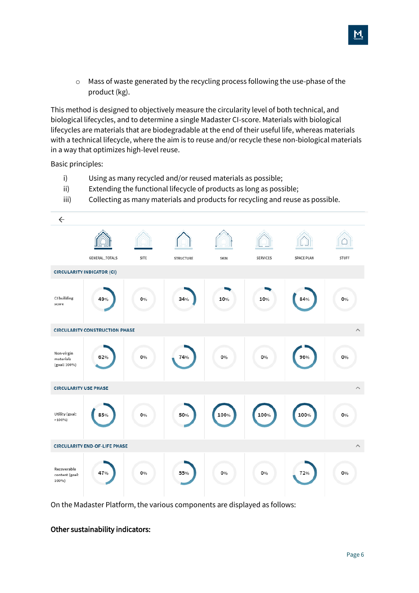o Mass of waste generated by the recycling process following the use-phase of the product (kg).

This method is designed to objectively measure the circularity level of both technical, and biological lifecycles, and to determine a single Madaster CI-score. Materials with biological lifecycles are materials that are biodegradable at the end of their useful life, whereas materials with a technical lifecycle, where the aim is to reuse and/or recycle these non-biological materials in a way that optimizes high-level reuse.

Basic principles:

- i) Using as many recycled and/or reused materials as possible;
- ii) Extending the functional lifecycle of products as long as possible;
- iii) Collecting as many materials and products for recycling and reuse as possible.



On the Madaster Platform, the various components are displayed as follows:

#### Other sustainability indicators: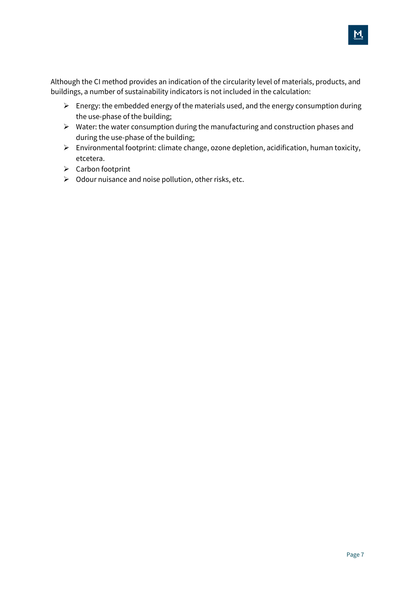Although the CI method provides an indication of the circularity level of materials, products, and buildings, a number of sustainability indicators is not included in the calculation:

- $\triangleright$  Energy: the embedded energy of the materials used, and the energy consumption during the use-phase of the building;
- $\triangleright$  Water: the water consumption during the manufacturing and construction phases and during the use-phase of the building;
- ➢ Environmental footprint: climate change, ozone depletion, acidification, human toxicity, etcetera.
- ➢ Carbon footprint
- $\triangleright$  Odour nuisance and noise pollution, other risks, etc.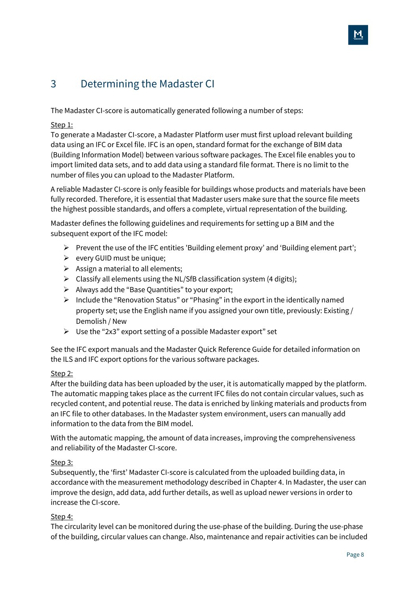## <span id="page-7-0"></span>3 Determining the Madaster CI

The Madaster CI-score is automatically generated following a number of steps:

#### Step 1:

To generate a Madaster CI-score, a Madaster Platform user must first upload relevant building data using an IFC or Excel file. IFC is an open, standard format for the exchange of BIM data (Building Information Model) between various software packages. The Excel file enables you to import limited data sets, and to add data using a standard file format. There is no limit to the number of files you can upload to the Madaster Platform.

A reliable Madaster CI-score is only feasible for buildings whose products and materials have been fully recorded. Therefore, it is essential that Madaster users make sure that the source file meets the highest possible standards, and offers a complete, virtual representation of the building.

Madaster defines the following guidelines and requirements for setting up a BIM and the subsequent export of the IFC model:

- $\triangleright$  Prevent the use of the IFC entities 'Building element proxy' and 'Building element part';
- ➢ every GUID must be unique;
- $\triangleright$  Assign a material to all elements;
- $\triangleright$  Classify all elements using the NL/SfB classification system (4 digits);
- $\triangleright$  Always add the "Base Quantities" to your export;
- $\triangleright$  Include the "Renovation Status" or "Phasing" in the export in the identically named property set; use the English name if you assigned your own title, previously: Existing / Demolish / New
- $\triangleright$  Use the "2x3" export setting of a possible Madaster export" set

See the IFC export manuals and the Madaster Quick Reference Guide for detailed information on the ILS and IFC export options for the various software packages.

#### Step 2:

After the building data has been uploaded by the user, it is automatically mapped by the platform. The automatic mapping takes place as the current IFC files do not contain circular values, such as recycled content, and potential reuse. The data is enriched by linking materials and products from an IFC file to other databases. In the Madaster system environment, users can manually add information to the data from the BIM model.

With the automatic mapping, the amount of data increases, improving the comprehensiveness and reliability of the Madaster CI-score.

#### Step 3:

Subsequently, the 'first' Madaster CI-score is calculated from the uploaded building data, in accordance with the measurement methodology described in Chapter 4. In Madaster, the user can improve the design, add data, add further details, as well as upload newer versions in order to increase the CI-score.

#### Step 4:

The circularity level can be monitored during the use-phase of the building. During the use-phase of the building, circular values can change. Also, maintenance and repair activities can be included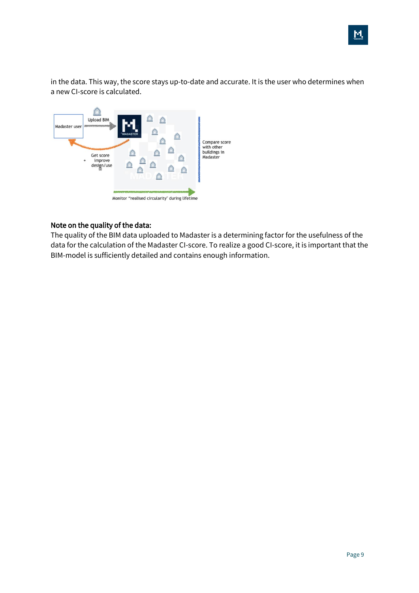in the data. This way, the score stays up-to-date and accurate. It is the user who determines when a new CI-score is calculated.



#### Note on the quality of the data:

The quality of the BIM data uploaded to Madaster is a determining factor for the usefulness of the data for the calculation of the Madaster CI-score. To realize a good CI-score, it is important that the BIM-model is sufficiently detailed and contains enough information.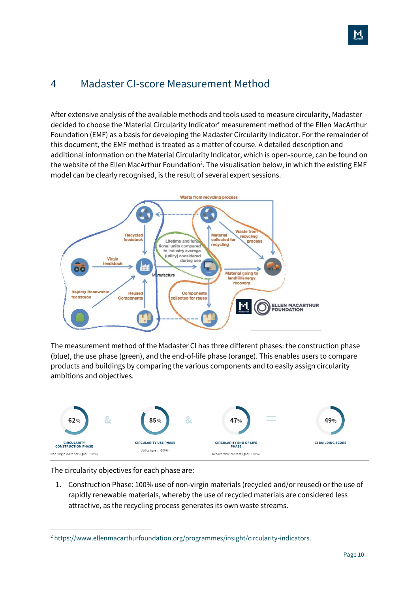## <span id="page-9-0"></span>4 Madaster CI-score Measurement Method

After extensive analysis of the available methods and tools used to measure circularity, Madaster decided to choose the 'Material Circularity Indicator' measurement method of the Ellen MacArthur Foundation (EMF) as a basis for developing the Madaster Circularity Indicator. For the remainder of this document, the EMF method is treated as a matter of course. A detailed description and additional information on the Material Circularity Indicator, which is open-source, can be found on the website of the Ellen MacArthur Foundation<sup>2</sup>. The visualisation below, in which the existing EMF model can be clearly recognised, is the result of several expert sessions.



The measurement method of the Madaster CI has three different phases: the construction phase (blue), the use phase (green), and the end-of-life phase (orange). This enables users to compare products and buildings by comparing the various components and to easily assign circularity ambitions and objectives.



The circularity objectives for each phase are:

1. Construction Phase: 100% use of non-virgin materials (recycled and/or reused) or the use of rapidly renewable materials, whereby the use of recycled materials are considered less attractive, as the recycling process generates its own waste streams.

<sup>&</sup>lt;sup>2</sup> [https://www.ellenmacarthurfoundation.org/programmes/insight/circularity-indicators.](https://www.ellenmacarthurfoundation.org/programmes/insight/circularity-indicators)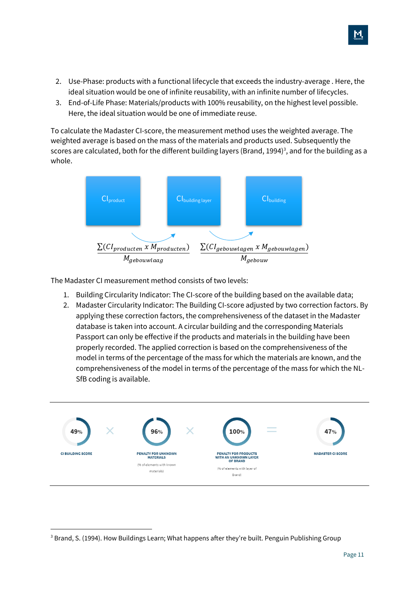- 2. Use-Phase: products with a functional lifecycle that exceeds the industry-average . Here, the ideal situation would be one of infinite reusability, with an infinite number of lifecycles.
- 3. End-of-Life Phase: Materials/products with 100% reusability, on the highest level possible. Here, the ideal situation would be one of immediate reuse.

To calculate the Madaster CI-score, the measurement method uses the weighted average. The weighted average is based on the mass of the materials and products used. Subsequently the scores are calculated, both for the different building layers (Brand, 1994)<sup>3</sup>, and for the building as a whole.



The Madaster CI measurement method consists of two levels:

- 1. Building Circularity Indicator: The CI-score of the building based on the available data;
- 2. Madaster Circularity Indicator: The Building CI-score adjusted by two correction factors. By applying these correction factors, the comprehensiveness of the dataset in the Madaster database is taken into account. A circular building and the corresponding Materials Passport can only be effective if the products and materials in the building have been properly recorded. The applied correction is based on the comprehensiveness of the model in terms of the percentage of the mass for which the materials are known, and the comprehensiveness of the model in terms of the percentage of the mass for which the NL-SfB coding is available.



<sup>&</sup>lt;sup>3</sup> Brand, S. (1994). How Buildings Learn; What happens after they're built. Penguin Publishing Group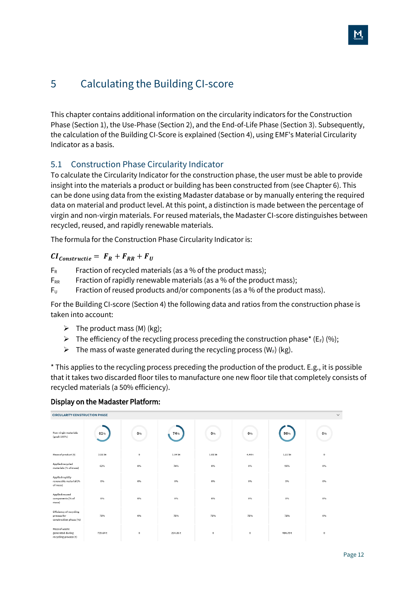## <span id="page-11-0"></span>5 Calculating the Building CI-score

This chapter contains additional information on the circularity indicators for the Construction Phase (Section 1), the Use-Phase (Section 2), and the End-of-Life Phase (Section 3). Subsequently, the calculation of the Building CI-Score is explained (Section 4), using EMF's Material Circularity Indicator as a basis.

## <span id="page-11-1"></span>5.1 Construction Phase Circularity Indicator

To calculate the Circularity Indicator for the construction phase, the user must be able to provide insight into the materials a product or building has been constructed from (see Chapter 6). This can be done using data from the existing Madaster database or by manually entering the required data on material and product level. At this point, a distinction is made between the percentage of virgin and non-virgin materials. For reused materials, the Madaster CI-score distinguishes between recycled, reused, and rapidly renewable materials.

The formula for the Construction Phase Circularity Indicator is:

#### $CI_{Constructie} = F_R + F_{RR} + F_U$

- $F_R$  Fraction of recycled materials (as a % of the product mass);
- $F_{RR}$  Fraction of rapidly renewable materials (as a % of the product mass);
- $F_U$  Fraction of reused products and/or components (as a % of the product mass).

For the Building CI-score (Section 4) the following data and ratios from the construction phase is taken into account:

- $\triangleright$  The product mass (M) (kg);
- $\triangleright$  The efficiency of the recycling process preceding the construction phase\* (E<sub>F</sub>) (%);
- $\triangleright$  The mass of waste generated during the recycling process (W<sub>F</sub>) (kg).

\* This applies to the recycling process preceding the production of the product. E.g., it is possible that it takes two discarded floor tiles to manufacture one new floor tile that completely consists of recycled materials (a 50% efficiency).

#### Display on the Madaster Platform:

| $\checkmark$<br><b>CIRCULARITY CONSTRUCTION PHASE</b>                   |         |                             |         |                             |                             |          |            |  |
|-------------------------------------------------------------------------|---------|-----------------------------|---------|-----------------------------|-----------------------------|----------|------------|--|
| Non-virgin materials<br>(goal: 100%)                                    | 62%     | 0%                          | 74%     | 0%                          | 0%                          | 96%      | 0%         |  |
| Mass of product (t)                                                     | 3.56 kt | $\mathbb O$                 | 1.04 kt | 1.01 kt                     | 4.44t                       | 1.51 kt  | $\circ$    |  |
| Applied recycled<br>materials (% of mass)                               | 62%     | 0%                          | 74%     | 0%                          | 0%                          | 96%      | 0%         |  |
| Applied rapidly<br>renewable material (%<br>of mass)                    | 0%      | $0\%$                       | $0\%$   | $0\%$                       | $0\%$                       | 0%       | 0%         |  |
| Applied reused<br>components (% of<br>mass)                             | 0%      | $0\%$                       | $0\%$   | $0\%$                       | $0\%$                       | 0%       | 0%         |  |
| <b>Efficiency of recycling</b><br>process for<br>construction phase (%) | 75%     | 0%                          | 75%     | 75%                         | 75%                         | 75%      | 0%         |  |
| Mass of waste<br>generated during<br>recycling process (t)              | 739.64t | $_{\tiny{\textregistered}}$ | 254.86t | $_{\tiny{\textregistered}}$ | $_{\tiny{\textregistered}}$ | 484.79 t | $_{\rm 0}$ |  |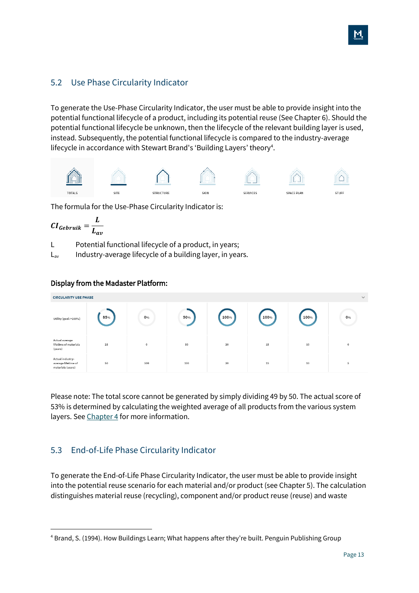<span id="page-12-0"></span>To generate the Use-Phase Circularity Indicator, the user must be able to provide insight into the potential functional lifecycle of a product, including its potential reuse (See Chapter 6). Should the potential functional lifecycle be unknown, then the lifecycle of the relevant building layer is used, instead. Subsequently, the potential functional lifecycle is compared to the industry-average lifecycle in accordance with Stewart Brand's 'Building Layers' theory<sup>4</sup>.



The formula for the Use-Phase Circularity Indicator is:

$$
CI_{Gebruik} = \frac{L}{L_{av}}
$$

Display from the Madaster Platform:

L Potential functional lifecycle of a product, in years;

 $L_{av}$  Industry-average lifecycle of a building layer, in years.

#### **CIRCULARITY USE PHASE** 1009 100% 1009 Utility (goal: >100%) 850 0% 50% 0% Actual average<br>lifetime of material:  $\frac{15}{15}$  $50$ 10 (years) Actual industry average lifetime of<br>materials (years)  $50$ **cor**  $100$  $20$  $15$  $10$

Please note: The total score cannot be generated by simply dividing 49 by 50. The actual score of 53% is determined by calculating the weighted average of all products from the various system layers. Se[e Chapter 4](#page-9-0) for more information.

### <span id="page-12-1"></span>5.3 End-of-Life Phase Circularity Indicator

To generate the End-of-Life Phase Circularity Indicator, the user must be able to provide insight into the potential reuse scenario for each material and/or product (see Chapter 5). The calculation distinguishes material reuse (recycling), component and/or product reuse (reuse) and waste

<sup>4</sup> Brand, S. (1994). How Buildings Learn; What happens after they're built. Penguin Publishing Group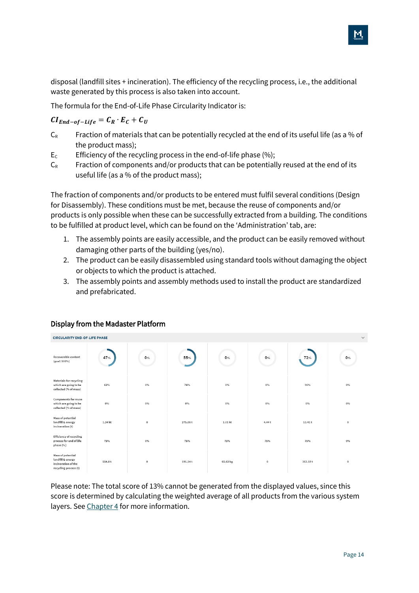disposal (landfill sites + incineration). The efficiency of the recycling process, i.e., the additional waste generated by this process is also taken into account.

The formula for the End-of-Life Phase Circularity Indicator is:

 $CI_{End-of-Life} = C_R \cdot E_C + C_U$ 

- $C_R$  Fraction of materials that can be potentially recycled at the end of its useful life (as a % of the product mass);
- $E_c$  Efficiency of the recycling process in the end-of-life phase  $(%)$ ;
- $C_R$  Fraction of components and/or products that can be potentially reused at the end of its useful life (as a % of the product mass);

The fraction of components and/or products to be entered must fulfil several conditions (Design for Disassembly). These conditions must be met, because the reuse of components and/or products is only possible when these can be successfully extracted from a building. The conditions to be fulfilled at product level, which can be found on the 'Administration' tab, are:

- 1. The assembly points are easily accessible, and the product can be easily removed without damaging other parts of the building (yes/no).
- 2. The product can be easily disassembled using standard tools without damaging the object or objects to which the product is attached.
- 3. The assembly points and assembly methods used to install the product are standardized and prefabricated.

| <b>CIRCULARITY END-OF-LIFE PHASE</b><br>$\checkmark$                                   |         |              |          |          |          |          |            |  |
|----------------------------------------------------------------------------------------|---------|--------------|----------|----------|----------|----------|------------|--|
| Recoverable content<br>(goal: 100%)                                                    | 47%     | 0%           | 55%      | 0%       | 0%       | 72%      | 0%         |  |
| Materials for recycling<br>which are going to be<br>collected (% of mass)              | 62%     | 0%           | 74%      | 0%       | 0%       | 96%      | 0%         |  |
| Components for reuse<br>which are going to be<br>collected (% of mass)                 | 0%      | $0\%$        | $0\%$    | $0\%$    | 0%       | 0%       | 0%         |  |
| Mass of potential<br>landfill & energy<br>incineration (t)                             | 1.34 kt | $\bf{0}$     | 275.08 t | 1.01 kt  | 4.44 t   | 53.41t   | $_{\rm 0}$ |  |
| <b>Efficiency of recycling</b><br>process for end of life<br>phase (%)                 | 75%     | 0%           | 75%      | 75%      | 75%      | 75%      | 0%         |  |
| Mass of potential<br>landfill & energy<br>incineration of the<br>recycling process (t) | 554.8t  | $\mathbf{0}$ | 191.14t  | 65.62 kg | $\theta$ | 363.59 t | $\,0\,$    |  |

#### Display from the Madaster Platform

Please note: The total score of 13% cannot be generated from the displayed values, since this score is determined by calculating the weighted average of all products from the various system layers. Se[e Chapter 4](#page-9-0) for more information.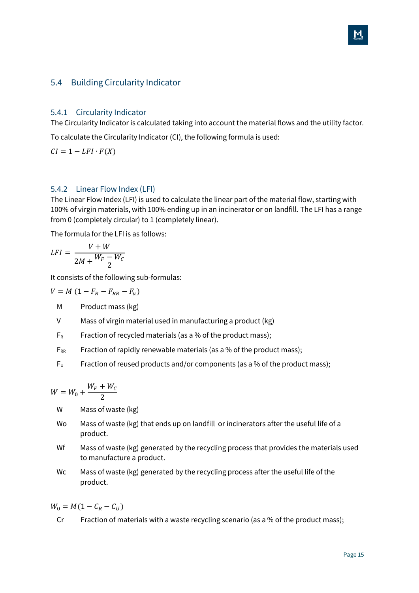#### <span id="page-14-0"></span>5.4 Building Circularity Indicator

#### <span id="page-14-1"></span>5.4.1 Circularity Indicator

The Circularity Indicator is calculated taking into account the material flows and the utility factor.

To calculate the Circularity Indicator (CI), the following formula is used:

 $CI = 1 - LFI \cdot F(X)$ 

#### <span id="page-14-2"></span>5.4.2 Linear Flow Index (LFI)

The Linear Flow Index (LFI) is used to calculate the linear part of the material flow, starting with 100% of virgin materials, with 100% ending up in an incinerator or on landfill. The LFI has a range from 0 (completely circular) to 1 (completely linear).

The formula for the LFI is as follows:

$$
LFI = \frac{V + W}{2M + \frac{W_F - W_C}{2}}
$$

It consists of the following sub-formulas:

$$
V = M \left(1 - F_R - F_{RR} - F_u\right)
$$

- M Product mass (kg)
- V Mass of virgin material used in manufacturing a product (kg)
- $F_R$  Fraction of recycled materials (as a % of the product mass);
- $F_{RR}$  Fraction of rapidly renewable materials (as a % of the product mass);
- $F_U$  Fraction of reused products and/or components (as a % of the product mass);

$$
W=W_0+\frac{W_F+W_C}{2}
$$

- W Mass of waste (kg)
- Wo Mass of waste (kg) that ends up on landfill or incinerators after the useful life of a product.
- Wf Mass of waste (kg) generated by the recycling process that provides the materials used to manufacture a product.
- Wc Mass of waste (kg) generated by the recycling process after the useful life of the product.

 $W_0 = M(1 - C_R - C_U)$ 

Cr Fraction of materials with a waste recycling scenario (as a % of the product mass);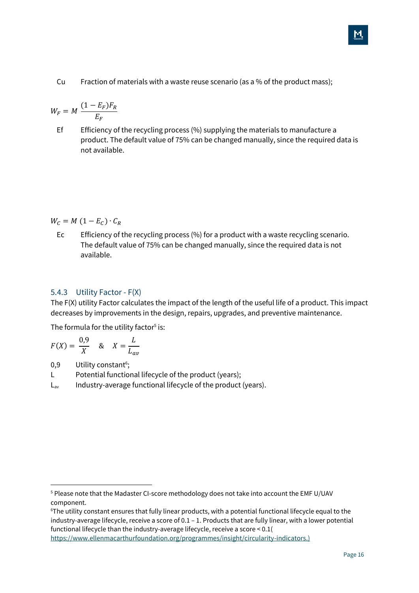Cu Fraction of materials with a waste reuse scenario (as a % of the product mass);

$$
W_F = M \frac{(1 - E_F)F_R}{E_F}
$$

Ef Efficiency of the recycling process (%) supplying the materials to manufacture a product. The default value of 75% can be changed manually, since the required data is not available.

#### $W_C = M (1 - E_C) \cdot C_R$

Ec Efficiency of the recycling process (%) for a product with a waste recycling scenario. The default value of 75% can be changed manually, since the required data is not available.

#### <span id="page-15-0"></span>5.4.3 Utility Factor - F(X)

The F(X) utility Factor calculates the impact of the length of the useful life of a product. This impact decreases by improvements in the design, repairs, upgrades, and preventive maintenance.

The formula for the utility factor<sup>5</sup> is:

$$
F(X) = \frac{0.9}{X} \quad \text{&} \quad X = \frac{L}{L_{av}}
$$

0,9 Utility constant<sup>6</sup>;

- L Potential functional lifecycle of the product (years);
- $L_{av}$  Industry-average functional lifecycle of the product (years).

<sup>5</sup> Please note that the Madaster CI-score methodology does not take into account the EMF U/UAV component.

<sup>6</sup>The utility constant ensures that fully linear products, with a potential functional lifecycle equal to the industry-average lifecycle, receive a score of 0.1 – 1. Products that are fully linear, with a lower potential functional lifecycle than the industry-average lifecycle, receive a score < 0.1( [https://www.ellenmacarthurfoundation.org/programmes/insight/circularity-indicators.](https://www.ellenmacarthurfoundation.org/programmes/insight/circularity-indicators))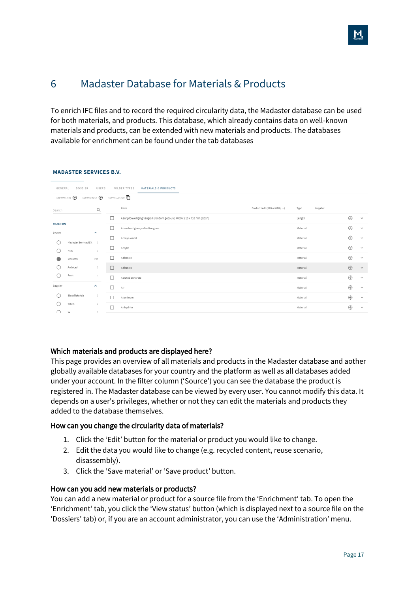## <span id="page-16-0"></span>6 Madaster Database for Materials & Products

To enrich IFC files and to record the required circularity data, the Madaster database can be used for both materials, and products. This database, which already contains data on well-known materials and products, can be extended with new materials and products. The databases available for enrichment can be found under the tab databases

| GENERAL                    | DOSSIER<br>ADD MATERIAL <sup>(+)</sup> | USERS<br>ADD PRODUCT <sup>4</sup> | <b>MATERIALS &amp; PRODUCTS</b><br>FOLDER TYPES<br>COPY SELECTED <b>[</b> |                              |          |          |         |              |
|----------------------------|----------------------------------------|-----------------------------------|---------------------------------------------------------------------------|------------------------------|----------|----------|---------|--------------|
| Search                     |                                        | Q                                 | Name                                                                      | Product code (EAN or GTIN, ) | Type     | Supplier |         |              |
|                            |                                        |                                   | Aanrijdbeveiliging vangrail (rondom gebouw) 4000 x 310 x 710 mm (lxbxh)   |                              | Length   |          | $\odot$ | $\checkmark$ |
| <b>FILTER ON</b><br>Source |                                        | $\sim$                            | Absorbent glass, reflective glass                                         |                              | Material |          | $\odot$ | $\checkmark$ |
|                            | Madaster Services B.V. 0               |                                   | Accoya wood                                                               |                              | Material |          | $\odot$ | $\checkmark$ |
|                            | <b>NMD</b>                             | $\mathbf{0}$                      | Acrylic                                                                   |                              | Material |          | $\odot$ | $\checkmark$ |
|                            | Madaster                               | 237                               | Adhesive                                                                  |                              | Material |          | $\odot$ | $\checkmark$ |
|                            | Archicad                               | $^{\circ}$                        | Adhesive                                                                  |                              | Material |          | $\odot$ | $\checkmark$ |
|                            | Revit                                  | $\circ$                           | Aerated concrete                                                          |                              | Material |          | $\odot$ | $\checkmark$ |
| Supplier                   |                                        | $\hat{\phantom{a}}$               | Air                                                                       |                              | Material |          | $\odot$ | $\checkmark$ |
|                            | BlockMaterials                         | $^{\circ}$                        | Aluminum                                                                  |                              | Material |          | $\odot$ | $\checkmark$ |
|                            | Wavin                                  | $\circ$                           | Anhydrite                                                                 |                              | Material |          | $\odot$ | $\checkmark$ |
|                            | XX                                     | $^{\circ}$                        |                                                                           |                              |          |          |         |              |

#### **MADASTER SERVICES B.V.**

#### Which materials and products are displayed here?

This page provides an overview of all materials and products in the Madaster database and aother globally available databases for your country and the platform as well as all databases added under your account. In the filter column ('Source') you can see the database the product is registered in. The Madaster database can be viewed by every user. You cannot modify this data. It depends on a user's privileges, whether or not they can edit the materials and products they added to the database themselves.

#### How can you change the circularity data of materials?

- 1. Click the 'Edit' button for the material or product you would like to change.
- 2. Edit the data you would like to change (e.g. recycled content, reuse scenario, disassembly).
- 3. Click the 'Save material' or 'Save product' button.

#### How can you add new materials or products?

You can add a new material or product for a source file from the 'Enrichment' tab. To open the 'Enrichment' tab, you click the 'View status' button (which is displayed next to a source file on the 'Dossiers' tab) or, if you are an account administrator, you can use the 'Administration' menu.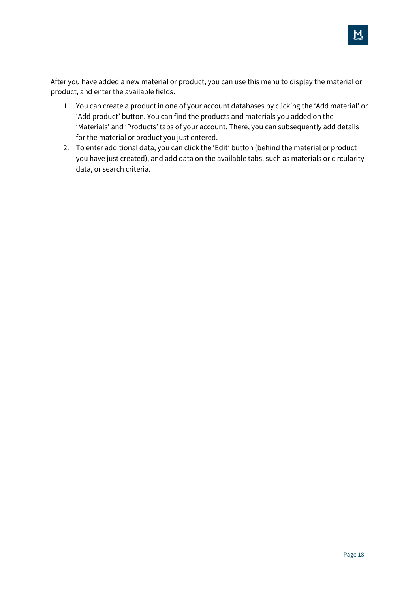After you have added a new material or product, you can use this menu to display the material or product, and enter the available fields.

- 1. You can create a product in one of your account databases by clicking the 'Add material' or 'Add product' button. You can find the products and materials you added on the 'Materials' and 'Products' tabs of your account. There, you can subsequently add details for the material or product you just entered.
- 2. To enter additional data, you can click the 'Edit' button (behind the material or product you have just created), and add data on the available tabs, such as materials or circularity data, or search criteria.